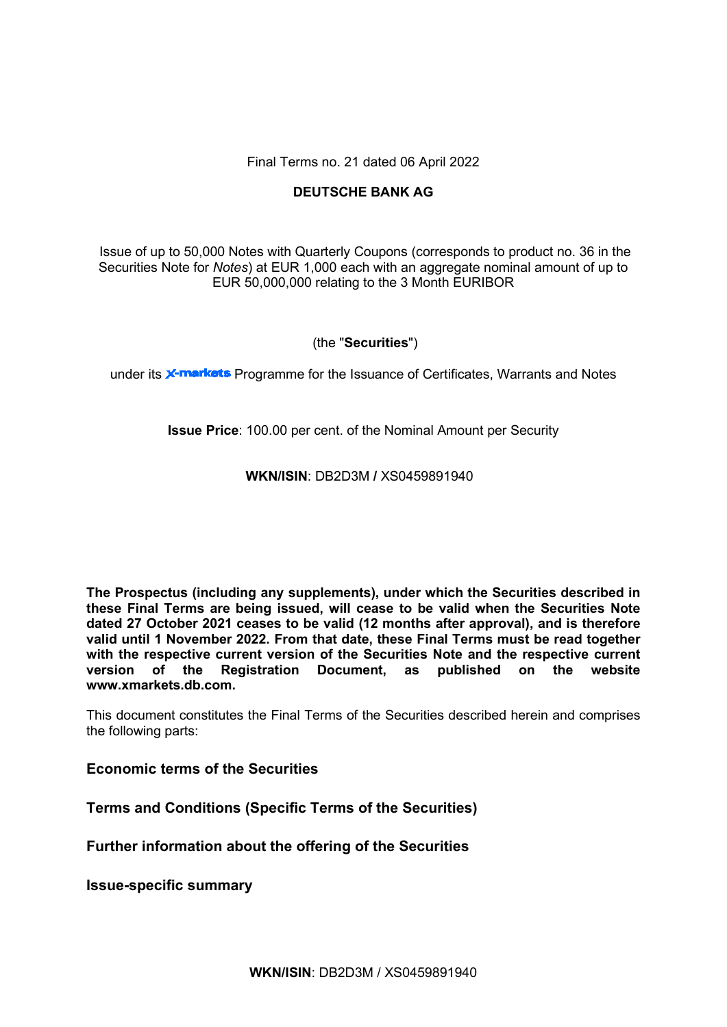Final Terms no. 21 dated 06 April 2022

# **DEUTSCHE BANK AG**

Issue of up to 50,000 Notes with Quarterly Coupons (corresponds to product no. 36 in the Securities Note for *Notes*) at EUR 1,000 each with an aggregate nominal amount of up to EUR 50,000,000 relating to the 3 Month EURIBOR

## (the "**Securities**")

under its **X-markets** Programme for the Issuance of Certificates, Warrants and Notes

**Issue Price**: 100.00 per cent. of the Nominal Amount per Security

## **WKN/ISIN**: DB2D3M **/** XS0459891940

**The Prospectus (including any supplements), under which the Securities described in these Final Terms are being issued, will cease to be valid when the Securities Note dated 27 October 2021 ceases to be valid (12 months after approval), and is therefore valid until 1 November 2022. From that date, these Final Terms must be read together with the respective current version of the Securities Note and the respective current version of the Registration Document, as published on the website www.xmarkets.db.com.**

This document constitutes the Final Terms of the Securities described herein and comprises the following parts:

# **Economic terms of the Securities**

**Terms and Conditions (Specific Terms of the Securities)**

**Further information about the offering of the Securities**

**Issue-specific summary**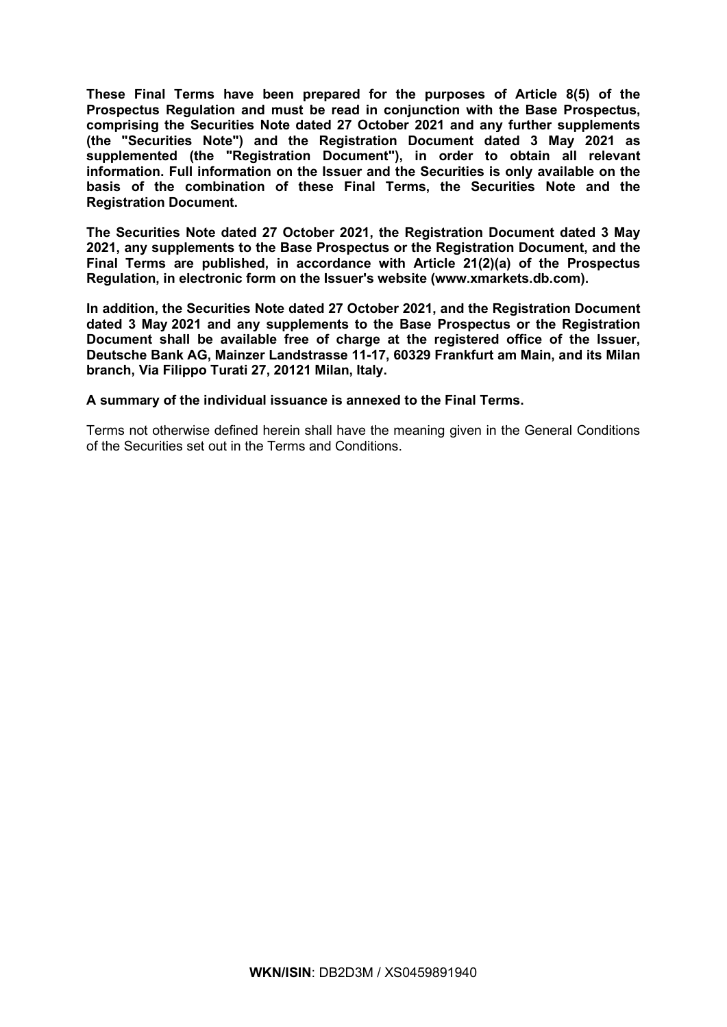**These Final Terms have been prepared for the purposes of Article 8(5) of the Prospectus Regulation and must be read in conjunction with the Base Prospectus, comprising the Securities Note dated 27 October 2021 and any further supplements (the "Securities Note") and the Registration Document dated 3 May 2021 as supplemented (the "Registration Document"), in order to obtain all relevant information. Full information on the Issuer and the Securities is only available on the basis of the combination of these Final Terms, the Securities Note and the Registration Document.** 

**The Securities Note dated 27 October 2021, the Registration Document dated 3 May 2021, any supplements to the Base Prospectus or the Registration Document, and the Final Terms are published, in accordance with Article 21(2)(a) of the Prospectus Regulation, in electronic form on the Issuer's website [\(www.xmarkets.db.com\)](http://www.xmarkets.db.com/).**

**In addition, the Securities Note dated 27 October 2021, and the Registration Document dated 3 May 2021 and any supplements to the Base Prospectus or the Registration Document shall be available free of charge at the registered office of the Issuer, Deutsche Bank AG, Mainzer Landstrasse 11-17, 60329 Frankfurt am Main, and its Milan branch, Via Filippo Turati 27, 20121 Milan, Italy.**

**A summary of the individual issuance is annexed to the Final Terms.**

Terms not otherwise defined herein shall have the meaning given in the General Conditions of the Securities set out in the Terms and Conditions.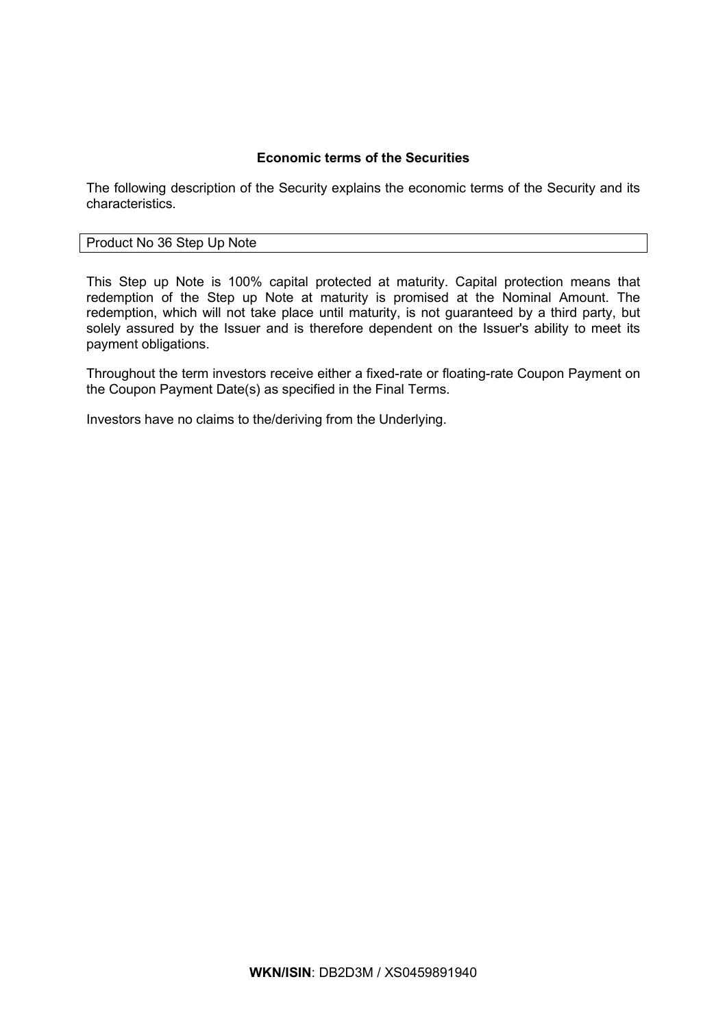# **Economic terms of the Securities**

The following description of the Security explains the economic terms of the Security and its characteristics.

## Product No 36 Step Up Note

This Step up Note is 100% capital protected at maturity. Capital protection means that redemption of the Step up Note at maturity is promised at the Nominal Amount. The redemption, which will not take place until maturity, is not guaranteed by a third party, but solely assured by the Issuer and is therefore dependent on the Issuer's ability to meet its payment obligations.

Throughout the term investors receive either a fixed-rate or floating-rate Coupon Payment on the Coupon Payment Date(s) as specified in the Final Terms.

Investors have no claims to the/deriving from the Underlying.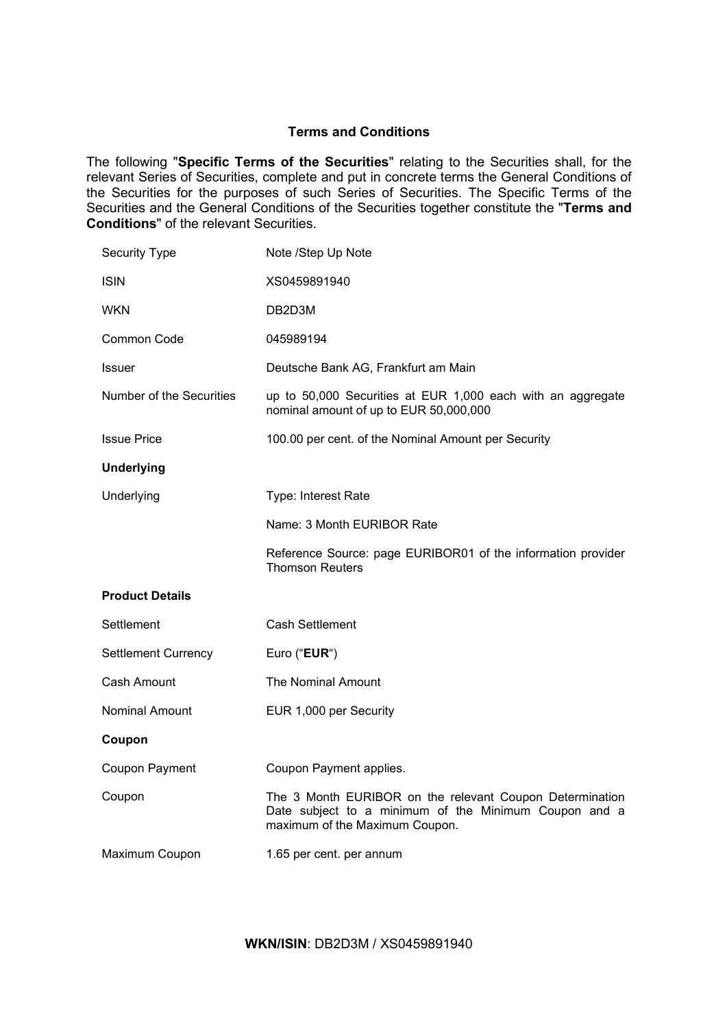# **Terms and Conditions**

The following "**Specific Terms of the Securities**" relating to the Securities shall, for the relevant Series of Securities, complete and put in concrete terms the General Conditions of the Securities for the purposes of such Series of Securities. The Specific Terms of the Securities and the General Conditions of the Securities together constitute the "**Terms and Conditions**" of the relevant Securities.

| <b>Security Type</b>       | Note /Step Up Note                                                                                                                                  |
|----------------------------|-----------------------------------------------------------------------------------------------------------------------------------------------------|
| <b>ISIN</b>                | XS0459891940                                                                                                                                        |
| <b>WKN</b>                 | DB2D3M                                                                                                                                              |
| <b>Common Code</b>         | 045989194                                                                                                                                           |
| <b>Issuer</b>              | Deutsche Bank AG, Frankfurt am Main                                                                                                                 |
| Number of the Securities   | up to 50,000 Securities at EUR 1,000 each with an aggregate<br>nominal amount of up to EUR 50,000,000                                               |
| <b>Issue Price</b>         | 100.00 per cent. of the Nominal Amount per Security                                                                                                 |
| <b>Underlying</b>          |                                                                                                                                                     |
| Underlying                 | Type: Interest Rate                                                                                                                                 |
|                            | Name: 3 Month EURIBOR Rate                                                                                                                          |
|                            | Reference Source: page EURIBOR01 of the information provider<br><b>Thomson Reuters</b>                                                              |
| <b>Product Details</b>     |                                                                                                                                                     |
| Settlement                 | <b>Cash Settlement</b>                                                                                                                              |
| <b>Settlement Currency</b> | Euro ("EUR")                                                                                                                                        |
| Cash Amount                | The Nominal Amount                                                                                                                                  |
| <b>Nominal Amount</b>      | EUR 1,000 per Security                                                                                                                              |
| Coupon                     |                                                                                                                                                     |
| Coupon Payment             | Coupon Payment applies.                                                                                                                             |
| Coupon                     | The 3 Month EURIBOR on the relevant Coupon Determination<br>Date subject to a minimum of the Minimum Coupon and a<br>maximum of the Maximum Coupon. |
| Maximum Coupon             | 1.65 per cent. per annum                                                                                                                            |

**WKN/ISIN**: DB2D3M / XS0459891940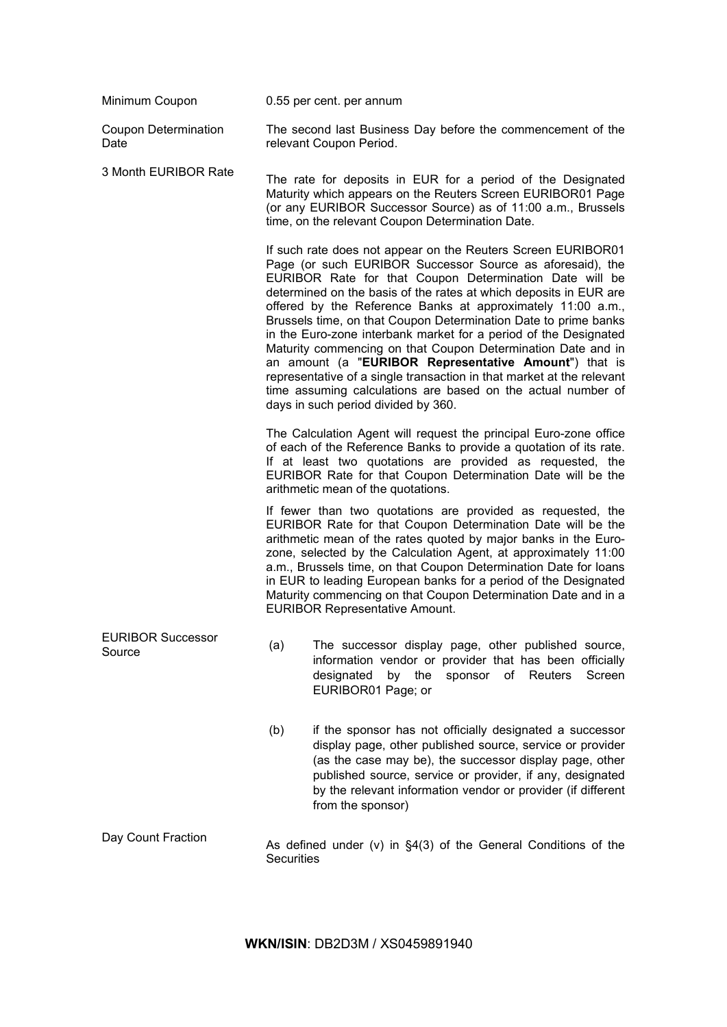| Minimum Coupon                      | 0.55 per cent. per annum                                                                                                                                                                                                                                                                                                                                                                                                                                                                                                                                                                                                                                                                                                                                                 |  |
|-------------------------------------|--------------------------------------------------------------------------------------------------------------------------------------------------------------------------------------------------------------------------------------------------------------------------------------------------------------------------------------------------------------------------------------------------------------------------------------------------------------------------------------------------------------------------------------------------------------------------------------------------------------------------------------------------------------------------------------------------------------------------------------------------------------------------|--|
| <b>Coupon Determination</b><br>Date | The second last Business Day before the commencement of the<br>relevant Coupon Period.                                                                                                                                                                                                                                                                                                                                                                                                                                                                                                                                                                                                                                                                                   |  |
| 3 Month EURIBOR Rate                | The rate for deposits in EUR for a period of the Designated<br>Maturity which appears on the Reuters Screen EURIBOR01 Page<br>(or any EURIBOR Successor Source) as of 11:00 a.m., Brussels<br>time, on the relevant Coupon Determination Date.                                                                                                                                                                                                                                                                                                                                                                                                                                                                                                                           |  |
|                                     | If such rate does not appear on the Reuters Screen EURIBOR01<br>Page (or such EURIBOR Successor Source as aforesaid), the<br>EURIBOR Rate for that Coupon Determination Date will be<br>determined on the basis of the rates at which deposits in EUR are<br>offered by the Reference Banks at approximately 11:00 a.m.,<br>Brussels time, on that Coupon Determination Date to prime banks<br>in the Euro-zone interbank market for a period of the Designated<br>Maturity commencing on that Coupon Determination Date and in<br>an amount (a "EURIBOR Representative Amount") that is<br>representative of a single transaction in that market at the relevant<br>time assuming calculations are based on the actual number of<br>days in such period divided by 360. |  |
|                                     | The Calculation Agent will request the principal Euro-zone office<br>of each of the Reference Banks to provide a quotation of its rate.<br>If at least two quotations are provided as requested, the<br>EURIBOR Rate for that Coupon Determination Date will be the<br>arithmetic mean of the quotations.                                                                                                                                                                                                                                                                                                                                                                                                                                                                |  |
|                                     | If fewer than two quotations are provided as requested, the<br>EURIBOR Rate for that Coupon Determination Date will be the<br>arithmetic mean of the rates quoted by major banks in the Euro-<br>zone, selected by the Calculation Agent, at approximately 11:00<br>a.m., Brussels time, on that Coupon Determination Date for loans<br>in EUR to leading European banks for a period of the Designated<br>Maturity commencing on that Coupon Determination Date and in a<br><b>EURIBOR Representative Amount.</b>                                                                                                                                                                                                                                                       |  |
| <b>EURIBOR Successor</b><br>Source  | The successor display page, other published source,<br>(a)<br>information vendor or provider that has been officially<br>designated<br>by the<br>sponsor<br>of<br>Reuters<br>Screen<br>EURIBOR01 Page; or                                                                                                                                                                                                                                                                                                                                                                                                                                                                                                                                                                |  |
|                                     | (b)<br>if the sponsor has not officially designated a successor<br>display page, other published source, service or provider<br>(as the case may be), the successor display page, other<br>published source, service or provider, if any, designated<br>by the relevant information vendor or provider (if different<br>from the sponsor)                                                                                                                                                                                                                                                                                                                                                                                                                                |  |
| Day Count Fraction                  | As defined under $(v)$ in $\S4(3)$ of the General Conditions of the<br>Securities                                                                                                                                                                                                                                                                                                                                                                                                                                                                                                                                                                                                                                                                                        |  |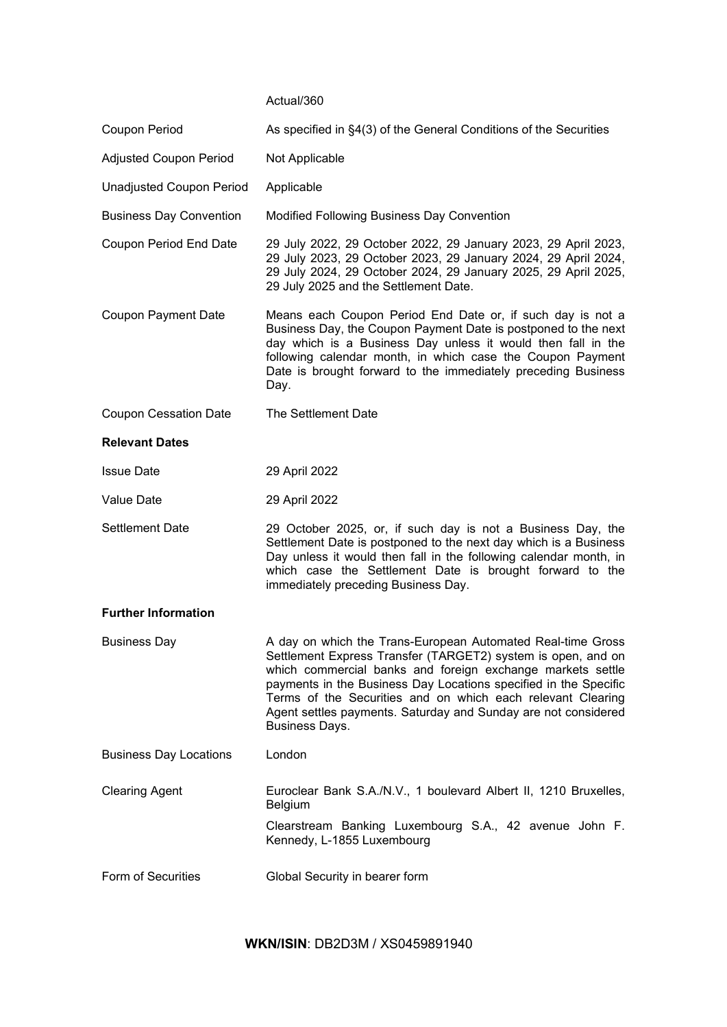## Actual/360

| Coupon Period                   | As specified in §4(3) of the General Conditions of the Securities                                                                                                                                                                                                                                                                                                                                                |
|---------------------------------|------------------------------------------------------------------------------------------------------------------------------------------------------------------------------------------------------------------------------------------------------------------------------------------------------------------------------------------------------------------------------------------------------------------|
| <b>Adjusted Coupon Period</b>   | Not Applicable                                                                                                                                                                                                                                                                                                                                                                                                   |
| <b>Unadjusted Coupon Period</b> | Applicable                                                                                                                                                                                                                                                                                                                                                                                                       |
| <b>Business Day Convention</b>  | Modified Following Business Day Convention                                                                                                                                                                                                                                                                                                                                                                       |
| Coupon Period End Date          | 29 July 2022, 29 October 2022, 29 January 2023, 29 April 2023,<br>29 July 2023, 29 October 2023, 29 January 2024, 29 April 2024,<br>29 July 2024, 29 October 2024, 29 January 2025, 29 April 2025,<br>29 July 2025 and the Settlement Date.                                                                                                                                                                      |
| <b>Coupon Payment Date</b>      | Means each Coupon Period End Date or, if such day is not a<br>Business Day, the Coupon Payment Date is postponed to the next<br>day which is a Business Day unless it would then fall in the<br>following calendar month, in which case the Coupon Payment<br>Date is brought forward to the immediately preceding Business<br>Day.                                                                              |
| <b>Coupon Cessation Date</b>    | The Settlement Date                                                                                                                                                                                                                                                                                                                                                                                              |
| <b>Relevant Dates</b>           |                                                                                                                                                                                                                                                                                                                                                                                                                  |
| <b>Issue Date</b>               | 29 April 2022                                                                                                                                                                                                                                                                                                                                                                                                    |
| Value Date                      | 29 April 2022                                                                                                                                                                                                                                                                                                                                                                                                    |
| <b>Settlement Date</b>          | 29 October 2025, or, if such day is not a Business Day, the<br>Settlement Date is postponed to the next day which is a Business<br>Day unless it would then fall in the following calendar month, in<br>which case the Settlement Date is brought forward to the<br>immediately preceding Business Day.                                                                                                          |
| <b>Further Information</b>      |                                                                                                                                                                                                                                                                                                                                                                                                                  |
| <b>Business Day</b>             | A day on which the Trans-European Automated Real-time Gross<br>Settlement Express Transfer (TARGET2) system is open, and on<br>which commercial banks and foreign exchange markets settle<br>payments in the Business Day Locations specified in the Specific<br>Terms of the Securities and on which each relevant Clearing<br>Agent settles payments. Saturday and Sunday are not considered<br>Business Days. |
| <b>Business Day Locations</b>   | London                                                                                                                                                                                                                                                                                                                                                                                                           |
| <b>Clearing Agent</b>           | Euroclear Bank S.A./N.V., 1 boulevard Albert II, 1210 Bruxelles,<br><b>Belgium</b>                                                                                                                                                                                                                                                                                                                               |
|                                 | Clearstream Banking Luxembourg S.A., 42 avenue John F.<br>Kennedy, L-1855 Luxembourg                                                                                                                                                                                                                                                                                                                             |
| Form of Securities              | Global Security in bearer form                                                                                                                                                                                                                                                                                                                                                                                   |

**WKN/ISIN**: DB2D3M / XS0459891940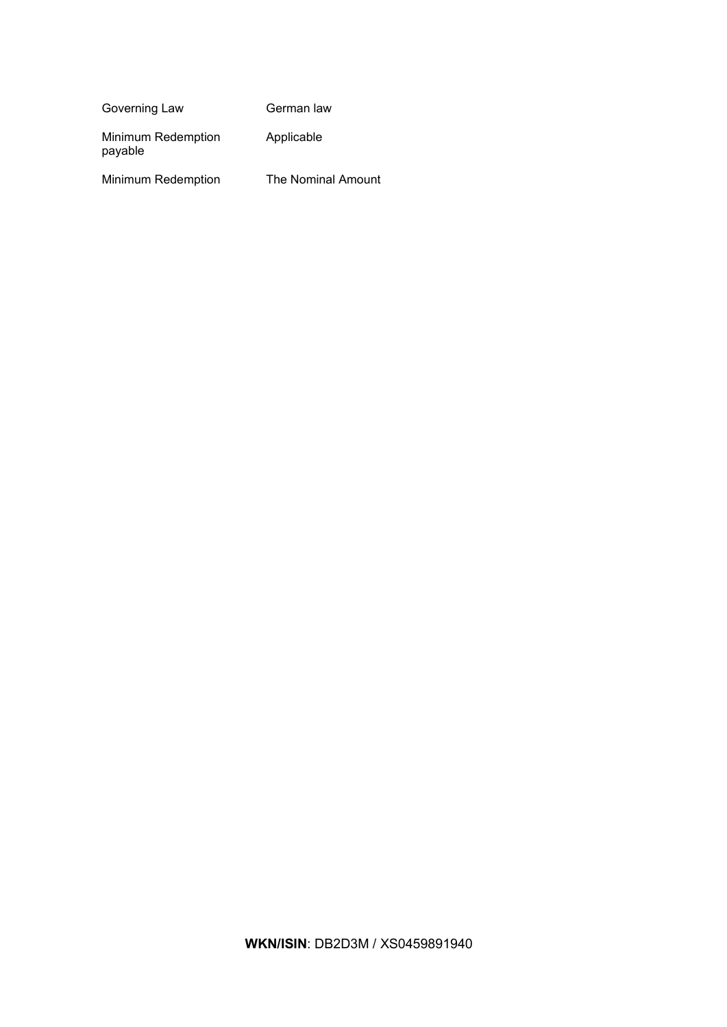| Governing Law                 | German law         |
|-------------------------------|--------------------|
| Minimum Redemption<br>payable | Applicable         |
| Minimum Redemption            | The Nominal Amount |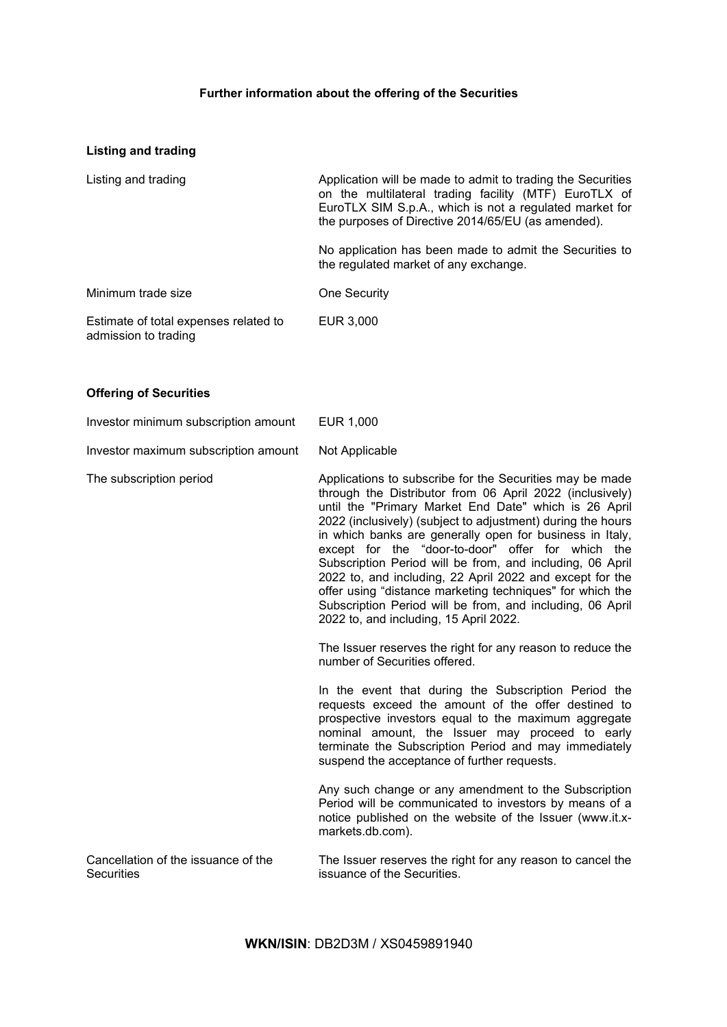# **Further information about the offering of the Securities**

# **Listing and trading**

| Listing and trading                                           | Application will be made to admit to trading the Securities<br>on the multilateral trading facility (MTF) EuroTLX of<br>EuroTLX SIM S.p.A., which is not a regulated market for<br>the purposes of Directive 2014/65/EU (as amended). |
|---------------------------------------------------------------|---------------------------------------------------------------------------------------------------------------------------------------------------------------------------------------------------------------------------------------|
|                                                               | No application has been made to admit the Securities to<br>the regulated market of any exchange.                                                                                                                                      |
| Minimum trade size                                            | One Security                                                                                                                                                                                                                          |
| Estimate of total expenses related to<br>admission to trading | EUR 3,000                                                                                                                                                                                                                             |

# **Offering of Securities**

| Investor minimum subscription amount                     | EUR 1,000                                                                                                                                                                                                                                                                                                                                                                                                                                                                                                                                                                                                                                                  |
|----------------------------------------------------------|------------------------------------------------------------------------------------------------------------------------------------------------------------------------------------------------------------------------------------------------------------------------------------------------------------------------------------------------------------------------------------------------------------------------------------------------------------------------------------------------------------------------------------------------------------------------------------------------------------------------------------------------------------|
| Investor maximum subscription amount                     | Not Applicable                                                                                                                                                                                                                                                                                                                                                                                                                                                                                                                                                                                                                                             |
| The subscription period                                  | Applications to subscribe for the Securities may be made<br>through the Distributor from 06 April 2022 (inclusively)<br>until the "Primary Market End Date" which is 26 April<br>2022 (inclusively) (subject to adjustment) during the hours<br>in which banks are generally open for business in Italy,<br>except for the "door-to-door" offer for which the<br>Subscription Period will be from, and including, 06 April<br>2022 to, and including, 22 April 2022 and except for the<br>offer using "distance marketing techniques" for which the<br>Subscription Period will be from, and including, 06 April<br>2022 to, and including, 15 April 2022. |
|                                                          | The Issuer reserves the right for any reason to reduce the<br>number of Securities offered.                                                                                                                                                                                                                                                                                                                                                                                                                                                                                                                                                                |
|                                                          | In the event that during the Subscription Period the<br>requests exceed the amount of the offer destined to<br>prospective investors equal to the maximum aggregate<br>nominal amount, the Issuer may proceed to early<br>terminate the Subscription Period and may immediately<br>suspend the acceptance of further requests.                                                                                                                                                                                                                                                                                                                             |
|                                                          | Any such change or any amendment to the Subscription<br>Period will be communicated to investors by means of a<br>notice published on the website of the Issuer (www.it.x-<br>markets.db.com).                                                                                                                                                                                                                                                                                                                                                                                                                                                             |
| Cancellation of the issuance of the<br><b>Securities</b> | The Issuer reserves the right for any reason to cancel the<br>issuance of the Securities.                                                                                                                                                                                                                                                                                                                                                                                                                                                                                                                                                                  |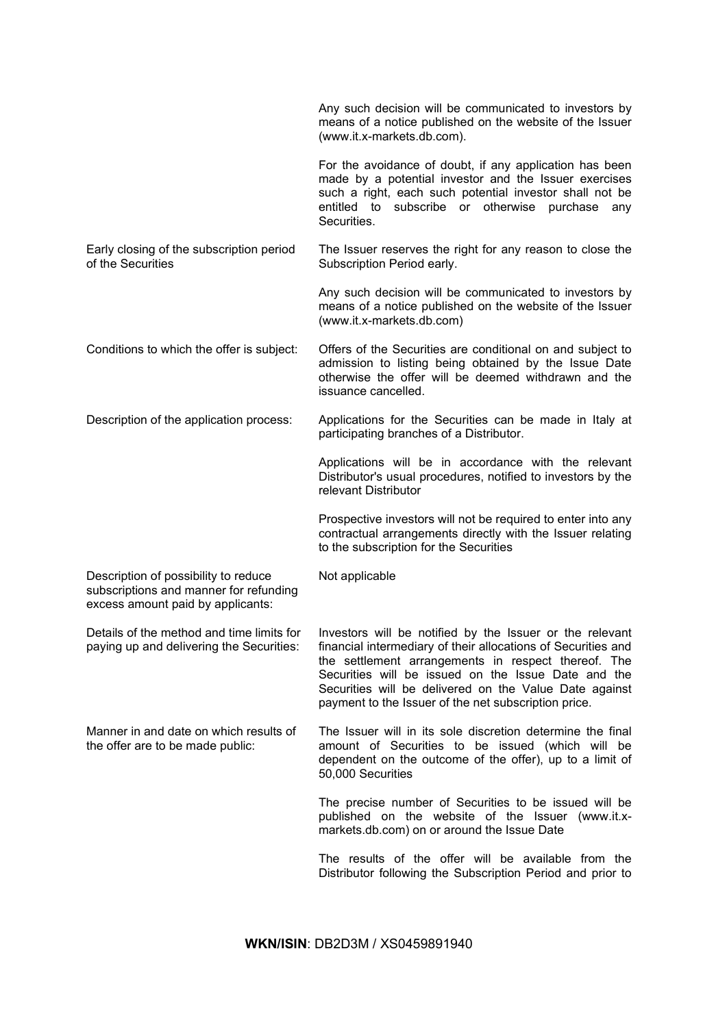|                                                                                                                     | Any such decision will be communicated to investors by<br>means of a notice published on the website of the Issuer<br>(www.it.x-markets.db.com).                                                                                                                                                                                                          |
|---------------------------------------------------------------------------------------------------------------------|-----------------------------------------------------------------------------------------------------------------------------------------------------------------------------------------------------------------------------------------------------------------------------------------------------------------------------------------------------------|
|                                                                                                                     | For the avoidance of doubt, if any application has been<br>made by a potential investor and the Issuer exercises<br>such a right, each such potential investor shall not be<br>subscribe or otherwise<br>entitled to<br>purchase<br>any<br>Securities.                                                                                                    |
| Early closing of the subscription period<br>of the Securities                                                       | The Issuer reserves the right for any reason to close the<br>Subscription Period early.                                                                                                                                                                                                                                                                   |
|                                                                                                                     | Any such decision will be communicated to investors by<br>means of a notice published on the website of the Issuer<br>(www.it.x-markets.db.com)                                                                                                                                                                                                           |
| Conditions to which the offer is subject:                                                                           | Offers of the Securities are conditional on and subject to<br>admission to listing being obtained by the Issue Date<br>otherwise the offer will be deemed withdrawn and the<br>issuance cancelled.                                                                                                                                                        |
| Description of the application process:                                                                             | Applications for the Securities can be made in Italy at<br>participating branches of a Distributor.                                                                                                                                                                                                                                                       |
|                                                                                                                     | Applications will be in accordance with the relevant<br>Distributor's usual procedures, notified to investors by the<br>relevant Distributor                                                                                                                                                                                                              |
|                                                                                                                     | Prospective investors will not be required to enter into any<br>contractual arrangements directly with the Issuer relating<br>to the subscription for the Securities                                                                                                                                                                                      |
| Description of possibility to reduce<br>subscriptions and manner for refunding<br>excess amount paid by applicants: | Not applicable                                                                                                                                                                                                                                                                                                                                            |
| Details of the method and time limits for<br>paying up and delivering the Securities:                               | Investors will be notified by the Issuer or the relevant<br>financial intermediary of their allocations of Securities and<br>the settlement arrangements in respect thereof. The<br>Securities will be issued on the Issue Date and the<br>Securities will be delivered on the Value Date against<br>payment to the Issuer of the net subscription price. |
| Manner in and date on which results of<br>the offer are to be made public:                                          | The Issuer will in its sole discretion determine the final<br>amount of Securities to be issued (which will be<br>dependent on the outcome of the offer), up to a limit of<br>50,000 Securities                                                                                                                                                           |
|                                                                                                                     | The precise number of Securities to be issued will be<br>published on the website of the Issuer (www.it.x-<br>markets.db.com) on or around the Issue Date                                                                                                                                                                                                 |
|                                                                                                                     | The results of the offer will be available from the<br>Distributor following the Subscription Period and prior to                                                                                                                                                                                                                                         |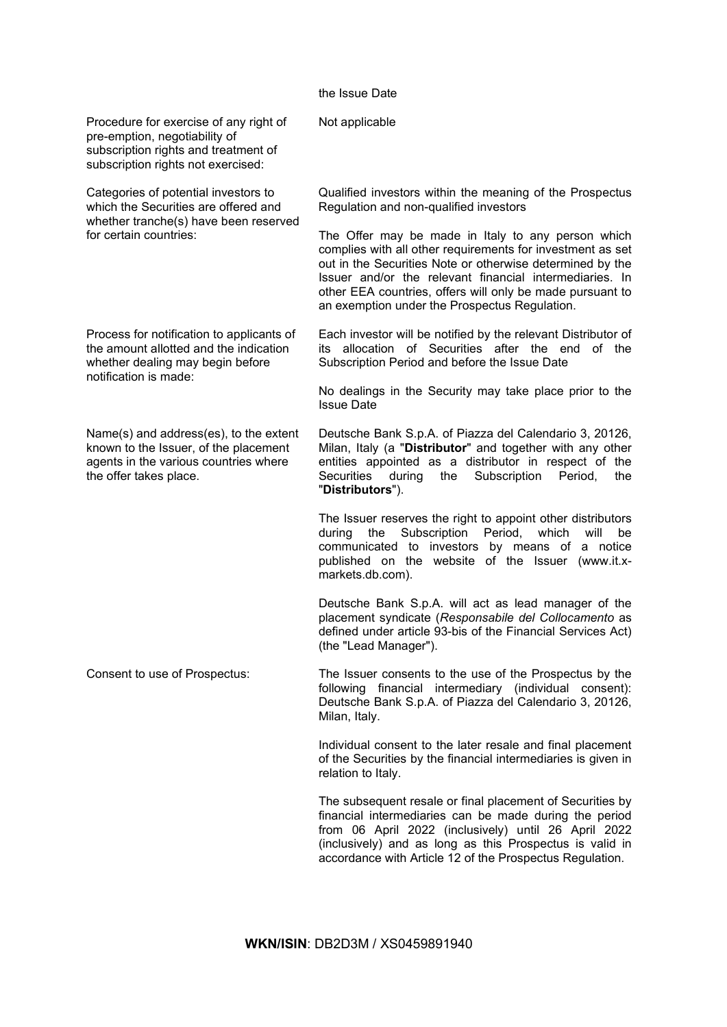## the Issue Date

| Procedure for exercise of any right of<br>pre-emption, negotiability of<br>subscription rights and treatment of<br>subscription rights not exercised: | Not applicable                                                                                                                                                                                                                                                                                                                                         |
|-------------------------------------------------------------------------------------------------------------------------------------------------------|--------------------------------------------------------------------------------------------------------------------------------------------------------------------------------------------------------------------------------------------------------------------------------------------------------------------------------------------------------|
| Categories of potential investors to<br>which the Securities are offered and<br>whether tranche(s) have been reserved<br>for certain countries:       | Qualified investors within the meaning of the Prospectus<br>Regulation and non-qualified investors                                                                                                                                                                                                                                                     |
|                                                                                                                                                       | The Offer may be made in Italy to any person which<br>complies with all other requirements for investment as set<br>out in the Securities Note or otherwise determined by the<br>Issuer and/or the relevant financial intermediaries. In<br>other EEA countries, offers will only be made pursuant to<br>an exemption under the Prospectus Regulation. |
| Process for notification to applicants of<br>the amount allotted and the indication<br>whether dealing may begin before                               | Each investor will be notified by the relevant Distributor of<br>its allocation of Securities after the end of the<br>Subscription Period and before the Issue Date                                                                                                                                                                                    |
| notification is made:                                                                                                                                 | No dealings in the Security may take place prior to the<br><b>Issue Date</b>                                                                                                                                                                                                                                                                           |
| Name(s) and address(es), to the extent<br>known to the Issuer, of the placement<br>agents in the various countries where<br>the offer takes place.    | Deutsche Bank S.p.A. of Piazza del Calendario 3, 20126,<br>Milan, Italy (a "Distributor" and together with any other<br>entities appointed as a distributor in respect of the<br>Securities<br>during<br>the<br>Subscription<br>Period,<br>the<br>"Distributors").                                                                                     |
|                                                                                                                                                       | The Issuer reserves the right to appoint other distributors<br>Subscription<br>Period,<br>which<br>during<br>the<br>will<br>be<br>communicated to investors by means of a notice<br>published on the website of the Issuer (www.it.x-<br>markets.db.com).                                                                                              |
|                                                                                                                                                       | Deutsche Bank S.p.A. will act as lead manager of the<br>placement syndicate (Responsabile del Collocamento as<br>defined under article 93-bis of the Financial Services Act)<br>(the "Lead Manager").                                                                                                                                                  |
| Consent to use of Prospectus:                                                                                                                         | The Issuer consents to the use of the Prospectus by the<br>following financial intermediary (individual consent):<br>Deutsche Bank S.p.A. of Piazza del Calendario 3, 20126,<br>Milan, Italy.                                                                                                                                                          |
|                                                                                                                                                       | Individual consent to the later resale and final placement<br>of the Securities by the financial intermediaries is given in<br>relation to Italy.                                                                                                                                                                                                      |
|                                                                                                                                                       | The subsequent resale or final placement of Securities by<br>financial intermediaries can be made during the period<br>from 06 April 2022 (inclusively) until 26 April 2022<br>(inclusively) and as long as this Prospectus is valid in                                                                                                                |

accordance with Article 12 of the Prospectus Regulation.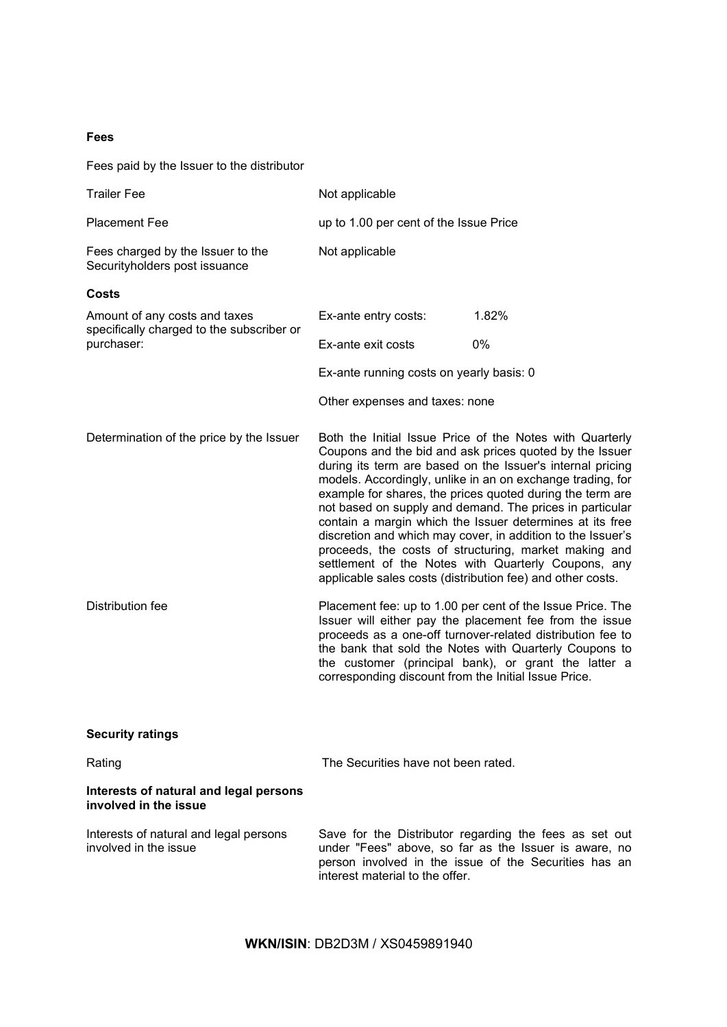## **Fees**

Fees paid by the Issuer to the distributor

| <b>Trailer Fee</b>                                                         | Not applicable                                             |                                                                                                                                                                                                                                                                                                                                                                                                                                                                                                                                                                                                                     |
|----------------------------------------------------------------------------|------------------------------------------------------------|---------------------------------------------------------------------------------------------------------------------------------------------------------------------------------------------------------------------------------------------------------------------------------------------------------------------------------------------------------------------------------------------------------------------------------------------------------------------------------------------------------------------------------------------------------------------------------------------------------------------|
| <b>Placement Fee</b>                                                       | up to 1.00 per cent of the Issue Price                     |                                                                                                                                                                                                                                                                                                                                                                                                                                                                                                                                                                                                                     |
| Fees charged by the Issuer to the<br>Securityholders post issuance         | Not applicable                                             |                                                                                                                                                                                                                                                                                                                                                                                                                                                                                                                                                                                                                     |
| Costs                                                                      |                                                            |                                                                                                                                                                                                                                                                                                                                                                                                                                                                                                                                                                                                                     |
| Amount of any costs and taxes<br>specifically charged to the subscriber or | Ex-ante entry costs:                                       | 1.82%                                                                                                                                                                                                                                                                                                                                                                                                                                                                                                                                                                                                               |
| purchaser:                                                                 | Ex-ante exit costs                                         | 0%                                                                                                                                                                                                                                                                                                                                                                                                                                                                                                                                                                                                                  |
|                                                                            | Ex-ante running costs on yearly basis: 0                   |                                                                                                                                                                                                                                                                                                                                                                                                                                                                                                                                                                                                                     |
|                                                                            | Other expenses and taxes: none                             |                                                                                                                                                                                                                                                                                                                                                                                                                                                                                                                                                                                                                     |
| Determination of the price by the Issuer                                   | applicable sales costs (distribution fee) and other costs. | Both the Initial Issue Price of the Notes with Quarterly<br>Coupons and the bid and ask prices quoted by the Issuer<br>during its term are based on the Issuer's internal pricing<br>models. Accordingly, unlike in an on exchange trading, for<br>example for shares, the prices quoted during the term are<br>not based on supply and demand. The prices in particular<br>contain a margin which the Issuer determines at its free<br>discretion and which may cover, in addition to the Issuer's<br>proceeds, the costs of structuring, market making and<br>settlement of the Notes with Quarterly Coupons, any |
| Distribution fee                                                           | corresponding discount from the Initial Issue Price.       | Placement fee: up to 1.00 per cent of the Issue Price. The<br>Issuer will either pay the placement fee from the issue<br>proceeds as a one-off turnover-related distribution fee to<br>the bank that sold the Notes with Quarterly Coupons to<br>the customer (principal bank), or grant the latter a                                                                                                                                                                                                                                                                                                               |
| <b>Security ratings</b>                                                    |                                                            |                                                                                                                                                                                                                                                                                                                                                                                                                                                                                                                                                                                                                     |
| Rating                                                                     | The Securities have not been rated.                        |                                                                                                                                                                                                                                                                                                                                                                                                                                                                                                                                                                                                                     |
| Interests of natural and legal persons<br>involved in the issue            |                                                            |                                                                                                                                                                                                                                                                                                                                                                                                                                                                                                                                                                                                                     |
| Interests of natural and legal persons<br>involved in the issue            | interest material to the offer.                            | Save for the Distributor regarding the fees as set out<br>under "Fees" above, so far as the Issuer is aware, no<br>person involved in the issue of the Securities has an                                                                                                                                                                                                                                                                                                                                                                                                                                            |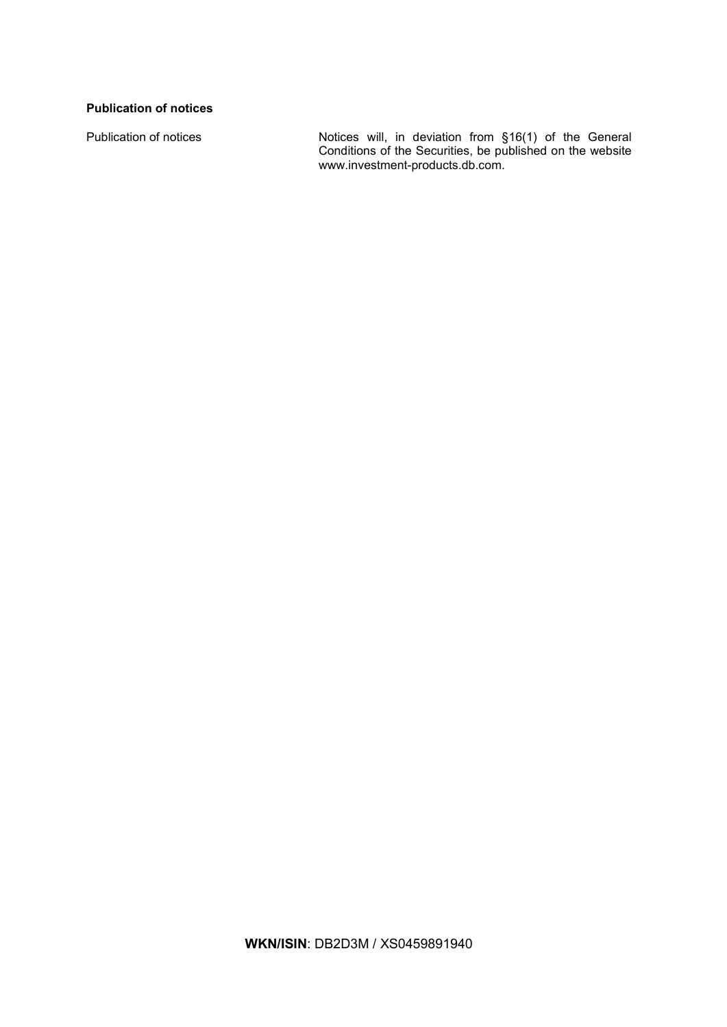## **Publication of notices**

Publication of notices Notices will, in deviation from §16(1) of the General Conditions of the Securities, be published on the website www.investment-products.db.com.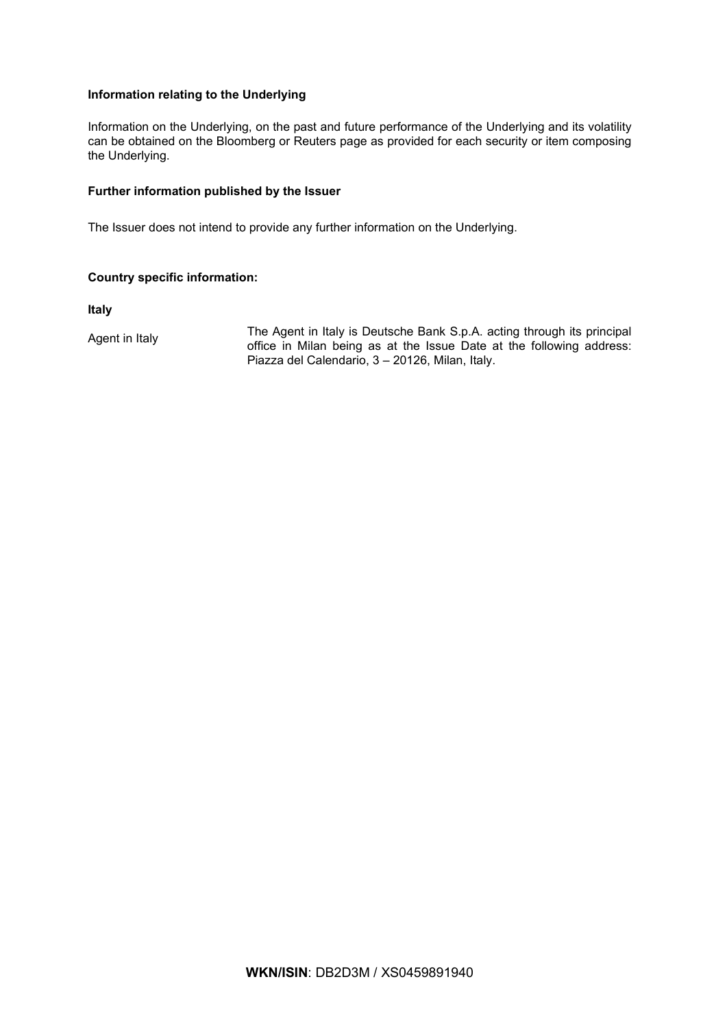## **Information relating to the Underlying**

Information on the Underlying, on the past and future performance of the Underlying and its volatility can be obtained on the Bloomberg or Reuters page as provided for each security or item composing the Underlying.

## **Further information published by the Issuer**

The Issuer does not intend to provide any further information on the Underlying.

## **Country specific information:**

**Italy**

Agent in Italy The Agent in Italy is Deutsche Bank S.p.A. acting through its principal<br>Agent in Italy 1980 of the Library of the Lates of the following address of the Sultanian address of the Sultanian address of the Sulta office in Milan being as at the Issue Date at the following address: Piazza del Calendario, 3 – 20126, Milan, Italy.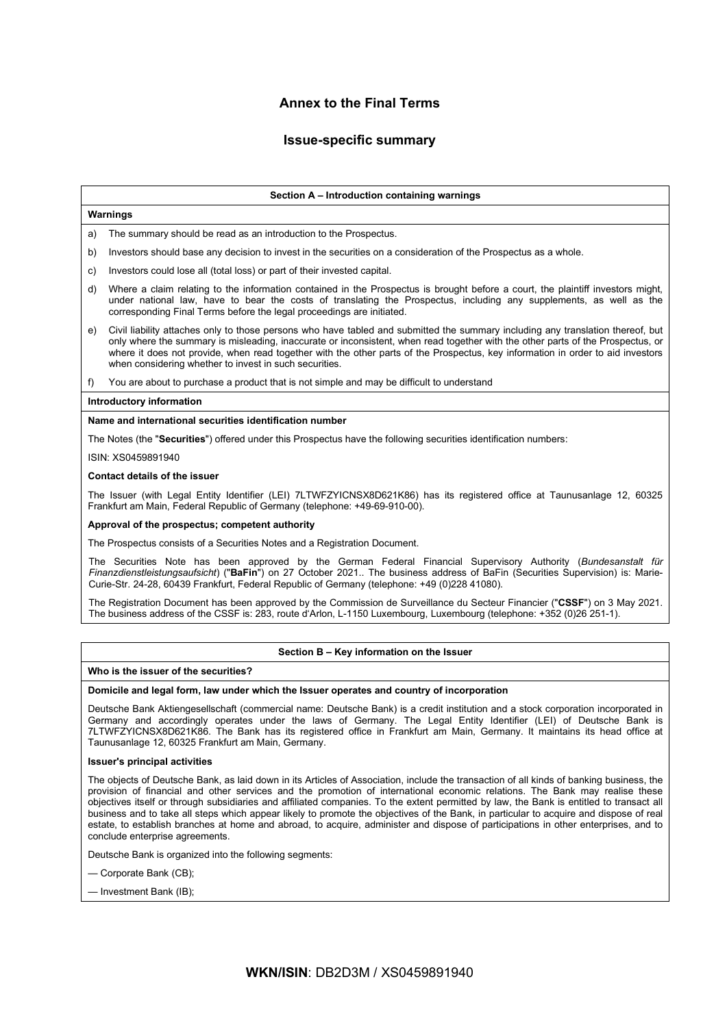## **Annex to the Final Terms**

## **Issue-specific summary**

#### **Section A – Introduction containing warnings**

## **Warnings**

a) The summary should be read as an introduction to the Prospectus.

- b) Investors should base any decision to invest in the securities on a consideration of the Prospectus as a whole.
- c) Investors could lose all (total loss) or part of their invested capital.
- d) Where a claim relating to the information contained in the Prospectus is brought before a court, the plaintiff investors might, under national law, have to bear the costs of translating the Prospectus, including any supplements, as well as the corresponding Final Terms before the legal proceedings are initiated.
- e) Civil liability attaches only to those persons who have tabled and submitted the summary including any translation thereof, but only where the summary is misleading, inaccurate or inconsistent, when read together with the other parts of the Prospectus, or where it does not provide, when read together with the other parts of the Prospectus, key information in order to aid investors when considering whether to invest in such securities.
- f) You are about to purchase a product that is not simple and may be difficult to understand

### **Introductory information**

### **Name and international securities identification number**

The Notes (the "**Securities**") offered under this Prospectus have the following securities identification numbers:

ISIN: XS0459891940

## **Contact details of the issuer**

The Issuer (with Legal Entity Identifier (LEI) 7LTWFZYICNSX8D621K86) has its registered office at Taunusanlage 12, 60325 Frankfurt am Main, Federal Republic of Germany (telephone: +49-69-910-00).

#### **Approval of the prospectus; competent authority**

The Prospectus consists of a Securities Notes and a Registration Document.

The Securities Note has been approved by the German Federal Financial Supervisory Authority (*Bundesanstalt für Finanzdienstleistungsaufsicht*) ("**BaFin**") on 27 October 2021.. The business address of BaFin (Securities Supervision) is: Marie-Curie-Str. 24-28, 60439 Frankfurt, Federal Republic of Germany (telephone: +49 (0)228 41080).

The Registration Document has been approved by the Commission de Surveillance du Secteur Financier ("**CSSF**") on 3 May 2021. The business address of the CSSF is: 283, route d'Arlon, L-1150 Luxembourg, Luxembourg (telephone: +352 (0)26 251-1).

### **Section B – Key information on the Issuer**

#### **Who is the issuer of the securities?**

#### **Domicile and legal form, law under which the Issuer operates and country of incorporation**

Deutsche Bank Aktiengesellschaft (commercial name: Deutsche Bank) is a credit institution and a stock corporation incorporated in Germany and accordingly operates under the laws of Germany. The Legal Entity Identifier (LEI) of Deutsche Bank is 7LTWFZYICNSX8D621K86. The Bank has its registered office in Frankfurt am Main, Germany. It maintains its head office at Taunusanlage 12, 60325 Frankfurt am Main, Germany.

#### **Issuer's principal activities**

The objects of Deutsche Bank, as laid down in its Articles of Association, include the transaction of all kinds of banking business, the provision of financial and other services and the promotion of international economic relations. The Bank may realise these objectives itself or through subsidiaries and affiliated companies. To the extent permitted by law, the Bank is entitled to transact all business and to take all steps which appear likely to promote the objectives of the Bank, in particular to acquire and dispose of real estate, to establish branches at home and abroad, to acquire, administer and dispose of participations in other enterprises, and to conclude enterprise agreements.

Deutsche Bank is organized into the following segments:

— Corporate Bank (CB);

— Investment Bank (IB);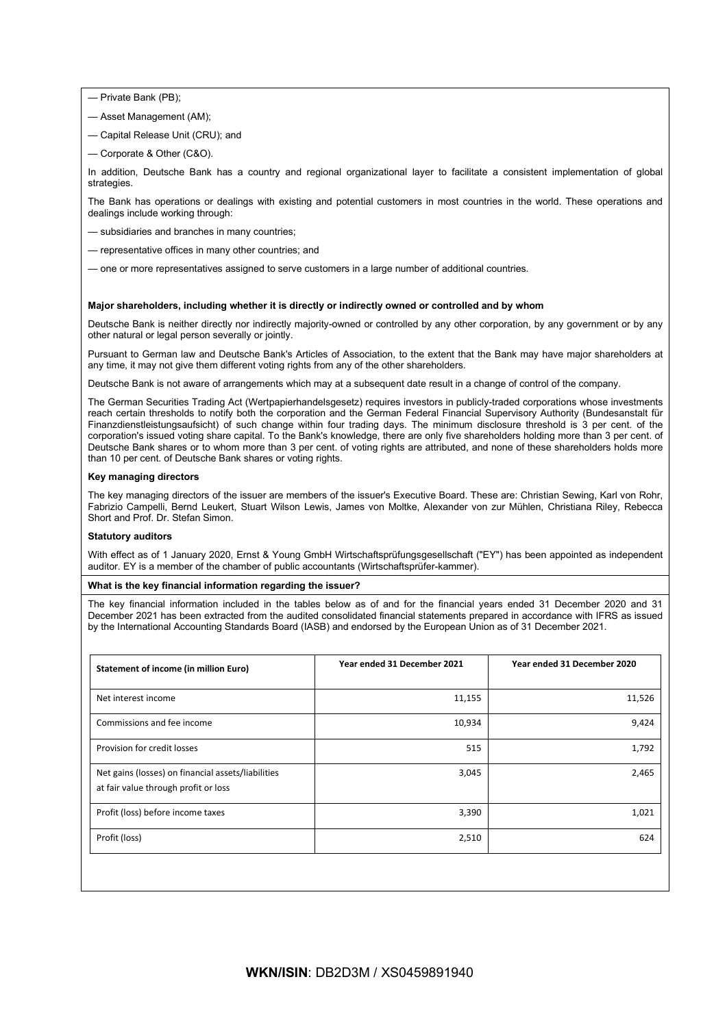— Private Bank (PB);

- Asset Management (AM);
- Capital Release Unit (CRU); and
- Corporate & Other (C&O).

In addition, Deutsche Bank has a country and regional organizational layer to facilitate a consistent implementation of global strategies

The Bank has operations or dealings with existing and potential customers in most countries in the world. These operations and dealings include working through:

- subsidiaries and branches in many countries;
- representative offices in many other countries; and
- one or more representatives assigned to serve customers in a large number of additional countries.

### **Major shareholders, including whether it is directly or indirectly owned or controlled and by whom**

Deutsche Bank is neither directly nor indirectly majority-owned or controlled by any other corporation, by any government or by any other natural or legal person severally or jointly.

Pursuant to German law and Deutsche Bank's Articles of Association, to the extent that the Bank may have major shareholders at any time, it may not give them different voting rights from any of the other shareholders.

Deutsche Bank is not aware of arrangements which may at a subsequent date result in a change of control of the company.

The German Securities Trading Act (Wertpapierhandelsgesetz) requires investors in publicly-traded corporations whose investments reach certain thresholds to notify both the corporation and the German Federal Financial Supervisory Authority (Bundesanstalt für Finanzdienstleistungsaufsicht) of such change within four trading days. The minimum disclosure threshold is 3 per cent. of the corporation's issued voting share capital. To the Bank's knowledge, there are only five shareholders holding more than 3 per cent. of Deutsche Bank shares or to whom more than 3 per cent. of voting rights are attributed, and none of these shareholders holds more than 10 per cent. of Deutsche Bank shares or voting rights.

#### **Key managing directors**

The key managing directors of the issuer are members of the issuer's Executive Board. These are: Christian Sewing, Karl von Rohr, Fabrizio Campelli, Bernd Leukert, Stuart Wilson Lewis, James von Moltke, Alexander von zur Mühlen, Christiana Riley, Rebecca Short and Prof. Dr. Stefan Simon.

#### **Statutory auditors**

With effect as of 1 January 2020, Ernst & Young GmbH Wirtschaftsprüfungsgesellschaft ("EY") has been appointed as independent auditor. EY is a member of the chamber of public accountants (Wirtschaftsprüfer-kammer).

#### **What is the key financial information regarding the issuer?**

The key financial information included in the tables below as of and for the financial years ended 31 December 2020 and 31 December 2021 has been extracted from the audited consolidated financial statements prepared in accordance with IFRS as issued by the International Accounting Standards Board (IASB) and endorsed by the European Union as of 31 December 2021.

| <b>Statement of income (in million Euro)</b>                                               | Year ended 31 December 2021 | Year ended 31 December 2020 |
|--------------------------------------------------------------------------------------------|-----------------------------|-----------------------------|
| Net interest income                                                                        | 11,155                      | 11,526                      |
| Commissions and fee income                                                                 | 10,934                      | 9,424                       |
| Provision for credit losses                                                                | 515                         | 1,792                       |
| Net gains (losses) on financial assets/liabilities<br>at fair value through profit or loss | 3,045                       | 2,465                       |
| Profit (loss) before income taxes                                                          | 3,390                       | 1,021                       |
| Profit (loss)                                                                              | 2,510                       | 624                         |
|                                                                                            |                             |                             |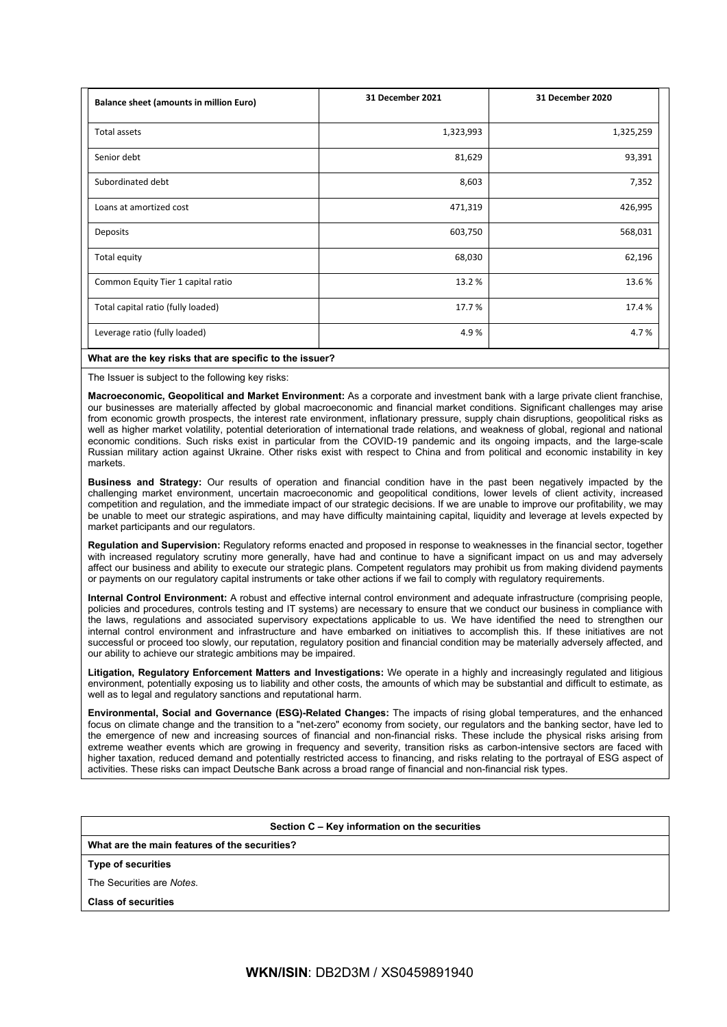| <b>Balance sheet (amounts in million Euro)</b> | <b>31 December 2021</b> | 31 December 2020 |
|------------------------------------------------|-------------------------|------------------|
| Total assets                                   | 1,323,993               | 1,325,259        |
| Senior debt                                    | 81,629                  | 93,391           |
| Subordinated debt                              | 8,603                   | 7,352            |
| Loans at amortized cost                        | 471,319                 | 426,995          |
| Deposits                                       | 603,750                 | 568,031          |
| Total equity                                   | 68,030                  | 62,196           |
| Common Equity Tier 1 capital ratio             | 13.2%                   | 13.6%            |
| Total capital ratio (fully loaded)             | 17.7%                   | 17.4 %           |
| Leverage ratio (fully loaded)                  | 4.9%                    | 4.7%             |

## **What are the key risks that are specific to the issuer?**

The Issuer is subject to the following key risks:

**Macroeconomic, Geopolitical and Market Environment:** As a corporate and investment bank with a large private client franchise, our businesses are materially affected by global macroeconomic and financial market conditions. Significant challenges may arise from economic growth prospects, the interest rate environment, inflationary pressure, supply chain disruptions, geopolitical risks as well as higher market volatility, potential deterioration of international trade relations, and weakness of global, regional and national economic conditions. Such risks exist in particular from the COVID-19 pandemic and its ongoing impacts, and the large-scale Russian military action against Ukraine. Other risks exist with respect to China and from political and economic instability in key markets.

**Business and Strategy:** Our results of operation and financial condition have in the past been negatively impacted by the challenging market environment, uncertain macroeconomic and geopolitical conditions, lower levels of client activity, increased competition and regulation, and the immediate impact of our strategic decisions. If we are unable to improve our profitability, we may be unable to meet our strategic aspirations, and may have difficulty maintaining capital, liquidity and leverage at levels expected by market participants and our regulators.

**Regulation and Supervision:** Regulatory reforms enacted and proposed in response to weaknesses in the financial sector, together with increased regulatory scrutiny more generally, have had and continue to have a significant impact on us and may adversely affect our business and ability to execute our strategic plans. Competent regulators may prohibit us from making dividend payments or payments on our regulatory capital instruments or take other actions if we fail to comply with regulatory requirements.

**Internal Control Environment:** A robust and effective internal control environment and adequate infrastructure (comprising people, policies and procedures, controls testing and IT systems) are necessary to ensure that we conduct our business in compliance with the laws, regulations and associated supervisory expectations applicable to us. We have identified the need to strengthen our internal control environment and infrastructure and have embarked on initiatives to accomplish this. If these initiatives are not successful or proceed too slowly, our reputation, regulatory position and financial condition may be materially adversely affected, and our ability to achieve our strategic ambitions may be impaired.

**Litigation, Regulatory Enforcement Matters and Investigations:** We operate in a highly and increasingly regulated and litigious environment, potentially exposing us to liability and other costs, the amounts of which may be substantial and difficult to estimate, as well as to legal and regulatory sanctions and reputational harm.

**Environmental, Social and Governance (ESG)-Related Changes:** The impacts of rising global temperatures, and the enhanced focus on climate change and the transition to a "net-zero" economy from society, our regulators and the banking sector, have led to the emergence of new and increasing sources of financial and non-financial risks. These include the physical risks arising from extreme weather events which are growing in frequency and severity, transition risks as carbon-intensive sectors are faced with higher taxation, reduced demand and potentially restricted access to financing, and risks relating to the portrayal of ESG aspect of activities. These risks can impact Deutsche Bank across a broad range of financial and non-financial risk types.

### **Section C – Key information on the securities**

**What are the main features of the securities?**

**Type of securities**

The Securities are *Notes*.

**Class of securities**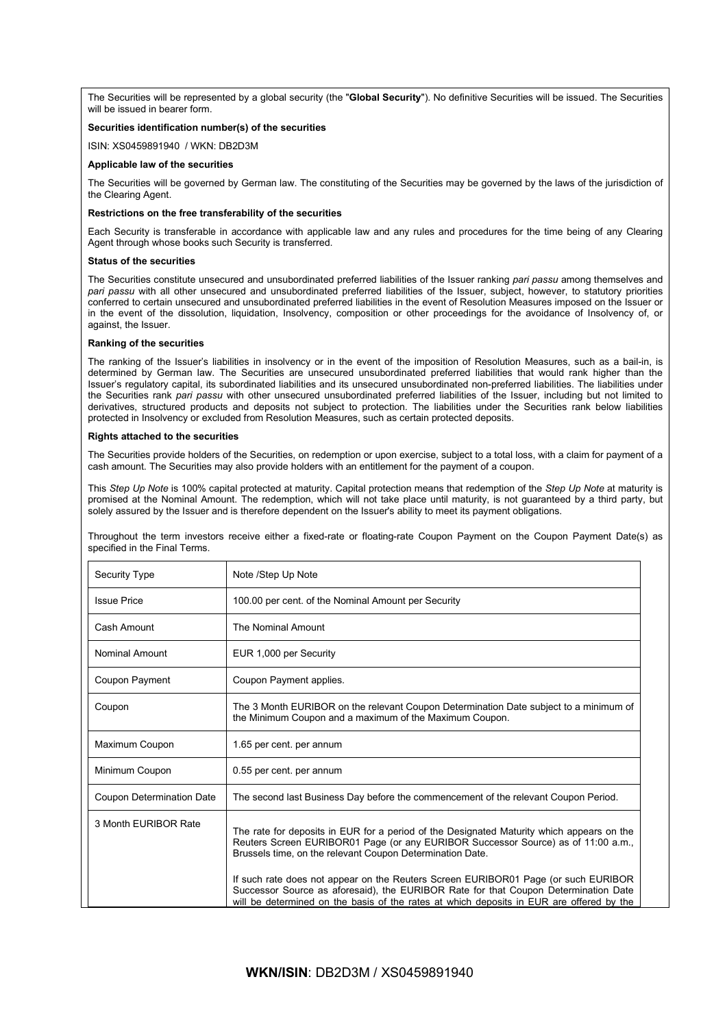The Securities will be represented by a global security (the "**Global Security**"). No definitive Securities will be issued. The Securities will be issued in bearer form.

## **Securities identification number(s) of the securities**

ISIN: XS0459891940 / WKN: DB2D3M

### **Applicable law of the securities**

The Securities will be governed by German law. The constituting of the Securities may be governed by the laws of the jurisdiction of the Clearing Agent.

### **Restrictions on the free transferability of the securities**

Each Security is transferable in accordance with applicable law and any rules and procedures for the time being of any Clearing Agent through whose books such Security is transferred.

#### **Status of the securities**

The Securities constitute unsecured and unsubordinated preferred liabilities of the Issuer ranking *pari passu* among themselves and *pari passu* with all other unsecured and unsubordinated preferred liabilities of the Issuer, subject, however, to statutory priorities conferred to certain unsecured and unsubordinated preferred liabilities in the event of Resolution Measures imposed on the Issuer or in the event of the dissolution, liquidation, Insolvency, composition or other proceedings for the avoidance of Insolvency of, or against, the Issuer.

#### **Ranking of the securities**

The ranking of the Issuer's liabilities in insolvency or in the event of the imposition of Resolution Measures, such as a bail-in, is determined by German law. The Securities are unsecured unsubordinated preferred liabilities that would rank higher than the Issuer's regulatory capital, its subordinated liabilities and its unsecured unsubordinated non-preferred liabilities. The liabilities under the Securities rank *pari passu* with other unsecured unsubordinated preferred liabilities of the Issuer, including but not limited to derivatives, structured products and deposits not subject to protection. The liabilities under the Securities rank below liabilities protected in Insolvency or excluded from Resolution Measures, such as certain protected deposits.

#### **Rights attached to the securities**

The Securities provide holders of the Securities, on redemption or upon exercise, subject to a total loss, with a claim for payment of a cash amount. The Securities may also provide holders with an entitlement for the payment of a coupon.

This *Step Up Note* is 100% capital protected at maturity. Capital protection means that redemption of the *Step Up Note* at maturity is promised at the Nominal Amount. The redemption, which will not take place until maturity, is not guaranteed by a third party, but solely assured by the Issuer and is therefore dependent on the Issuer's ability to meet its payment obligations.

Throughout the term investors receive either a fixed-rate or floating-rate Coupon Payment on the Coupon Payment Date(s) as specified in the Final Terms.

| Security Type                    | Note /Step Up Note                                                                                                                                                                                                                                                                                                                |
|----------------------------------|-----------------------------------------------------------------------------------------------------------------------------------------------------------------------------------------------------------------------------------------------------------------------------------------------------------------------------------|
| <b>Issue Price</b>               | 100.00 per cent. of the Nominal Amount per Security                                                                                                                                                                                                                                                                               |
| Cash Amount                      | The Nominal Amount                                                                                                                                                                                                                                                                                                                |
| <b>Nominal Amount</b>            | EUR 1,000 per Security                                                                                                                                                                                                                                                                                                            |
| Coupon Payment                   | Coupon Payment applies.                                                                                                                                                                                                                                                                                                           |
| Coupon                           | The 3 Month EURIBOR on the relevant Coupon Determination Date subject to a minimum of<br>the Minimum Coupon and a maximum of the Maximum Coupon.                                                                                                                                                                                  |
| Maximum Coupon                   | 1.65 per cent. per annum                                                                                                                                                                                                                                                                                                          |
| Minimum Coupon                   | 0.55 per cent. per annum                                                                                                                                                                                                                                                                                                          |
| <b>Coupon Determination Date</b> | The second last Business Day before the commencement of the relevant Coupon Period.                                                                                                                                                                                                                                               |
| 3 Month EURIBOR Rate             | The rate for deposits in EUR for a period of the Designated Maturity which appears on the<br>Reuters Screen EURIBOR01 Page (or any EURIBOR Successor Source) as of 11:00 a.m.,<br>Brussels time, on the relevant Coupon Determination Date.<br>If such rate does not appear on the Reuters Screen EURIBOR01 Page (or such EURIBOR |
|                                  | Successor Source as aforesaid), the EURIBOR Rate for that Coupon Determination Date<br>will be determined on the basis of the rates at which deposits in EUR are offered by the                                                                                                                                                   |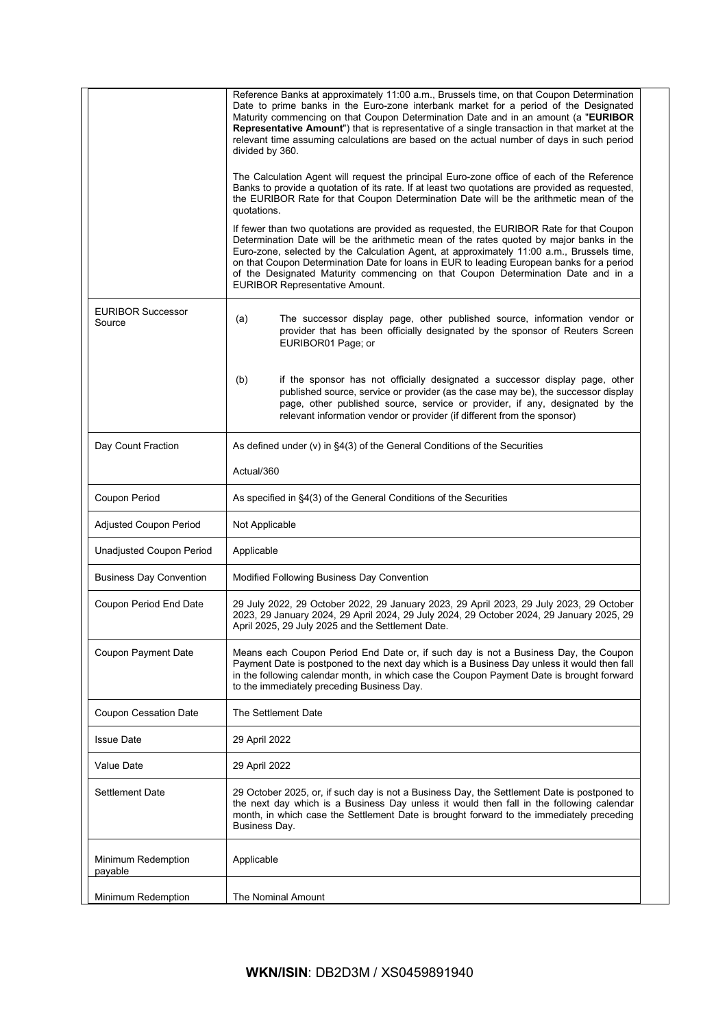|                                    | Reference Banks at approximately 11:00 a.m., Brussels time, on that Coupon Determination<br>Date to prime banks in the Euro-zone interbank market for a period of the Designated<br>Maturity commencing on that Coupon Determination Date and in an amount (a "EURIBOR"<br>Representative Amount") that is representative of a single transaction in that market at the<br>relevant time assuming calculations are based on the actual number of days in such period<br>divided by 360.                     |  |  |
|------------------------------------|-------------------------------------------------------------------------------------------------------------------------------------------------------------------------------------------------------------------------------------------------------------------------------------------------------------------------------------------------------------------------------------------------------------------------------------------------------------------------------------------------------------|--|--|
|                                    | The Calculation Agent will request the principal Euro-zone office of each of the Reference<br>Banks to provide a quotation of its rate. If at least two quotations are provided as requested,<br>the EURIBOR Rate for that Coupon Determination Date will be the arithmetic mean of the<br>quotations.                                                                                                                                                                                                      |  |  |
|                                    | If fewer than two quotations are provided as requested, the EURIBOR Rate for that Coupon<br>Determination Date will be the arithmetic mean of the rates quoted by major banks in the<br>Euro-zone, selected by the Calculation Agent, at approximately 11:00 a.m., Brussels time,<br>on that Coupon Determination Date for loans in EUR to leading European banks for a period<br>of the Designated Maturity commencing on that Coupon Determination Date and in a<br><b>EURIBOR Representative Amount.</b> |  |  |
| <b>EURIBOR Successor</b><br>Source | The successor display page, other published source, information vendor or<br>(a)<br>provider that has been officially designated by the sponsor of Reuters Screen<br>EURIBOR01 Page; or                                                                                                                                                                                                                                                                                                                     |  |  |
|                                    | if the sponsor has not officially designated a successor display page, other<br>(b)<br>published source, service or provider (as the case may be), the successor display<br>page, other published source, service or provider, if any, designated by the<br>relevant information vendor or provider (if different from the sponsor)                                                                                                                                                                         |  |  |
| Day Count Fraction                 | As defined under (v) in §4(3) of the General Conditions of the Securities                                                                                                                                                                                                                                                                                                                                                                                                                                   |  |  |
|                                    | Actual/360                                                                                                                                                                                                                                                                                                                                                                                                                                                                                                  |  |  |
| Coupon Period                      | As specified in §4(3) of the General Conditions of the Securities                                                                                                                                                                                                                                                                                                                                                                                                                                           |  |  |
| Adjusted Coupon Period             | Not Applicable                                                                                                                                                                                                                                                                                                                                                                                                                                                                                              |  |  |
| Unadjusted Coupon Period           | Applicable                                                                                                                                                                                                                                                                                                                                                                                                                                                                                                  |  |  |
| <b>Business Day Convention</b>     | Modified Following Business Day Convention                                                                                                                                                                                                                                                                                                                                                                                                                                                                  |  |  |
| Coupon Period End Date             | 29 July 2022, 29 October 2022, 29 January 2023, 29 April 2023, 29 July 2023, 29 October<br>2023, 29 January 2024, 29 April 2024, 29 July 2024, 29 October 2024, 29 January 2025, 29<br>April 2025, 29 July 2025 and the Settlement Date.                                                                                                                                                                                                                                                                    |  |  |
| Coupon Payment Date                | Means each Coupon Period End Date or, if such day is not a Business Day, the Coupon<br>Payment Date is postponed to the next day which is a Business Day unless it would then fall<br>in the following calendar month, in which case the Coupon Payment Date is brought forward<br>to the immediately preceding Business Day.                                                                                                                                                                               |  |  |
| Coupon Cessation Date              | The Settlement Date                                                                                                                                                                                                                                                                                                                                                                                                                                                                                         |  |  |
| <b>Issue Date</b>                  | 29 April 2022                                                                                                                                                                                                                                                                                                                                                                                                                                                                                               |  |  |
| Value Date                         | 29 April 2022                                                                                                                                                                                                                                                                                                                                                                                                                                                                                               |  |  |
| <b>Settlement Date</b>             | 29 October 2025, or, if such day is not a Business Day, the Settlement Date is postponed to<br>the next day which is a Business Day unless it would then fall in the following calendar<br>month, in which case the Settlement Date is brought forward to the immediately preceding<br>Business Day.                                                                                                                                                                                                        |  |  |
| Minimum Redemption<br>payable      | Applicable                                                                                                                                                                                                                                                                                                                                                                                                                                                                                                  |  |  |
| Minimum Redemption                 | The Nominal Amount                                                                                                                                                                                                                                                                                                                                                                                                                                                                                          |  |  |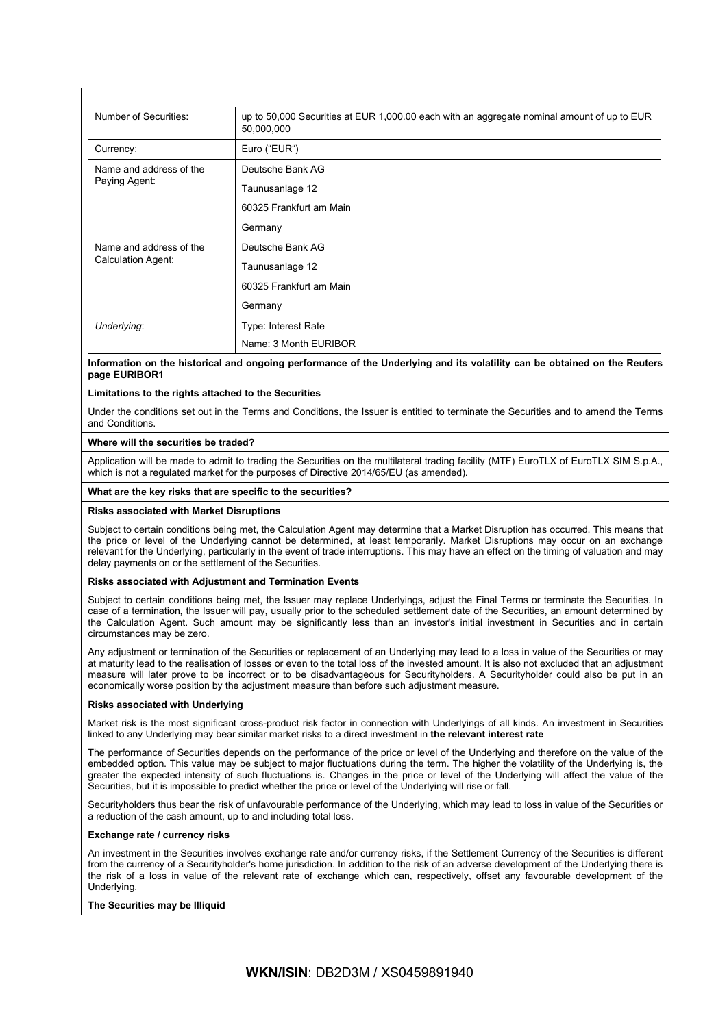| Number of Securities:                         | up to 50,000 Securities at EUR 1,000.00 each with an aggregate nominal amount of up to EUR<br>50,000,000 |
|-----------------------------------------------|----------------------------------------------------------------------------------------------------------|
| Currency:                                     | Euro ("EUR")                                                                                             |
| Name and address of the<br>Paying Agent:      | Deutsche Bank AG                                                                                         |
|                                               | Taunusanlage 12                                                                                          |
|                                               | 60325 Frankfurt am Main                                                                                  |
|                                               | Germany                                                                                                  |
| Name and address of the<br>Calculation Agent: | Deutsche Bank AG                                                                                         |
|                                               | Taunusanlage 12                                                                                          |
|                                               | 60325 Frankfurt am Main                                                                                  |
|                                               | Germany                                                                                                  |
| Underlying:                                   | Type: Interest Rate                                                                                      |
|                                               | Name: 3 Month EURIBOR                                                                                    |

**Information on the historical and ongoing performance of the Underlying and its volatility can be obtained on the Reuters page EURIBOR1**

## **Limitations to the rights attached to the Securities**

Under the conditions set out in the Terms and Conditions, the Issuer is entitled to terminate the Securities and to amend the Terms and Conditions.

### **Where will the securities be traded?**

Application will be made to admit to trading the Securities on the multilateral trading facility (MTF) EuroTLX of EuroTLX SIM S.p.A., which is not a regulated market for the purposes of Directive 2014/65/EU (as amended).

### **What are the key risks that are specific to the securities?**

### **Risks associated with Market Disruptions**

Subject to certain conditions being met, the Calculation Agent may determine that a Market Disruption has occurred. This means that the price or level of the Underlying cannot be determined, at least temporarily. Market Disruptions may occur on an exchange relevant for the Underlying, particularly in the event of trade interruptions. This may have an effect on the timing of valuation and may delay payments on or the settlement of the Securities.

#### **Risks associated with Adjustment and Termination Events**

Subject to certain conditions being met, the Issuer may replace Underlyings, adjust the Final Terms or terminate the Securities. In case of a termination, the Issuer will pay, usually prior to the scheduled settlement date of the Securities, an amount determined by the Calculation Agent. Such amount may be significantly less than an investor's initial investment in Securities and in certain circumstances may be zero.

Any adjustment or termination of the Securities or replacement of an Underlying may lead to a loss in value of the Securities or may at maturity lead to the realisation of losses or even to the total loss of the invested amount. It is also not excluded that an adjustment measure will later prove to be incorrect or to be disadvantageous for Securityholders. A Securityholder could also be put in an economically worse position by the adjustment measure than before such adjustment measure.

### **Risks associated with Underlying**

Market risk is the most significant cross-product risk factor in connection with Underlyings of all kinds. An investment in Securities linked to any Underlying may bear similar market risks to a direct investment in **the relevant interest rate**

The performance of Securities depends on the performance of the price or level of the Underlying and therefore on the value of the embedded option. This value may be subject to major fluctuations during the term. The higher the volatility of the Underlying is, the greater the expected intensity of such fluctuations is. Changes in the price or level of the Underlying will affect the value of the Securities, but it is impossible to predict whether the price or level of the Underlying will rise or fall.

Securityholders thus bear the risk of unfavourable performance of the Underlying, which may lead to loss in value of the Securities or a reduction of the cash amount, up to and including total loss.

#### **Exchange rate / currency risks**

An investment in the Securities involves exchange rate and/or currency risks, if the Settlement Currency of the Securities is different from the currency of a Securityholder's home jurisdiction. In addition to the risk of an adverse development of the Underlying there is the risk of a loss in value of the relevant rate of exchange which can, respectively, offset any favourable development of the Underlying.

### **The Securities may be Illiquid**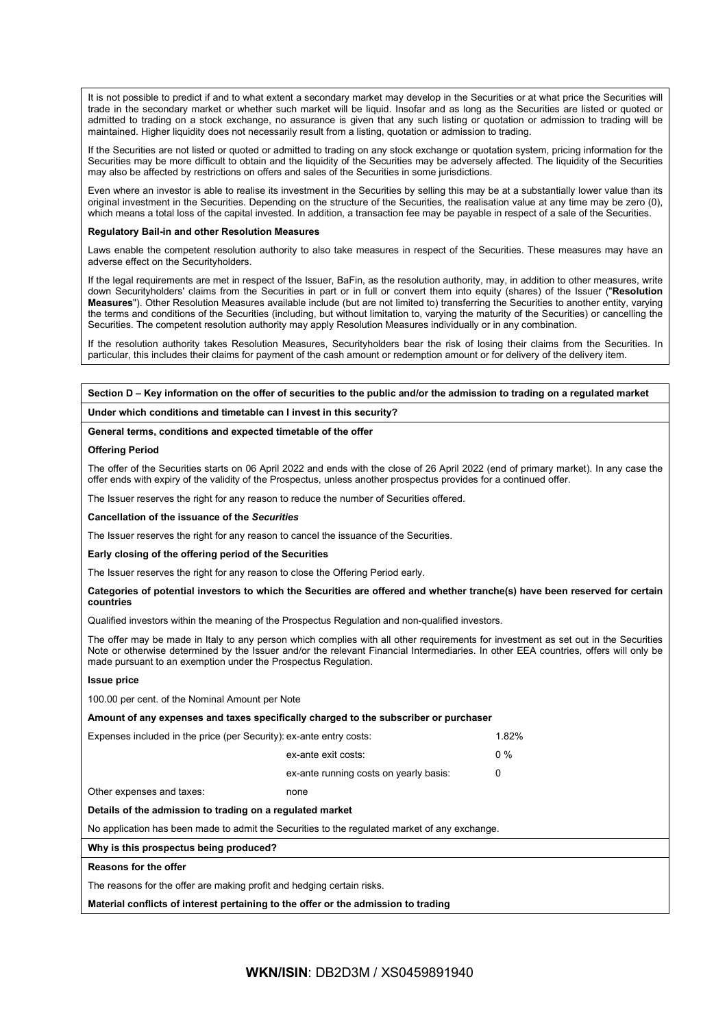It is not possible to predict if and to what extent a secondary market may develop in the Securities or at what price the Securities will trade in the secondary market or whether such market will be liquid. Insofar and as long as the Securities are listed or quoted or admitted to trading on a stock exchange, no assurance is given that any such listing or quotation or admission to trading will be maintained. Higher liquidity does not necessarily result from a listing, quotation or admission to trading.

If the Securities are not listed or quoted or admitted to trading on any stock exchange or quotation system, pricing information for the Securities may be more difficult to obtain and the liquidity of the Securities may be adversely affected. The liquidity of the Securities may also be affected by restrictions on offers and sales of the Securities in some jurisdictions.

Even where an investor is able to realise its investment in the Securities by selling this may be at a substantially lower value than its original investment in the Securities. Depending on the structure of the Securities, the realisation value at any time may be zero (0), which means a total loss of the capital invested. In addition, a transaction fee may be payable in respect of a sale of the Securities.

#### **Regulatory Bail-in and other Resolution Measures**

Laws enable the competent resolution authority to also take measures in respect of the Securities. These measures may have an adverse effect on the Securityholders.

If the legal requirements are met in respect of the Issuer, BaFin, as the resolution authority, may, in addition to other measures, write down Securityholders' claims from the Securities in part or in full or convert them into equity (shares) of the Issuer ("**Resolution Measures**"). Other Resolution Measures available include (but are not limited to) transferring the Securities to another entity, varying the terms and conditions of the Securities (including, but without limitation to, varying the maturity of the Securities) or cancelling the Securities. The competent resolution authority may apply Resolution Measures individually or in any combination.

If the resolution authority takes Resolution Measures, Securityholders bear the risk of losing their claims from the Securities. In particular, this includes their claims for payment of the cash amount or redemption amount or for delivery of the delivery item.

## **Section D – Key information on the offer of securities to the public and/or the admission to trading on a regulated market**

**Under which conditions and timetable can I invest in this security?**

## **General terms, conditions and expected timetable of the offer**

#### **Offering Period**

The offer of the Securities starts on 06 April 2022 and ends with the close of 26 April 2022 (end of primary market). In any case the offer ends with expiry of the validity of the Prospectus, unless another prospectus provides for a continued offer.

The Issuer reserves the right for any reason to reduce the number of Securities offered.

#### **Cancellation of the issuance of the** *Securities*

The Issuer reserves the right for any reason to cancel the issuance of the Securities.

#### **Early closing of the offering period of the Securities**

The Issuer reserves the right for any reason to close the Offering Period early.

### **Categories of potential investors to which the Securities are offered and whether tranche(s) have been reserved for certain countries**

Qualified investors within the meaning of the Prospectus Regulation and non-qualified investors.

The offer may be made in Italy to any person which complies with all other requirements for investment as set out in the Securities Note or otherwise determined by the Issuer and/or the relevant Financial Intermediaries. In other EEA countries, offers will only be made pursuant to an exemption under the Prospectus Regulation.

#### **Issue price**

100.00 per cent. of the Nominal Amount per Note

| Amount of any expenses and taxes specifically charged to the subscriber or purchaser          |                                        |       |  |  |
|-----------------------------------------------------------------------------------------------|----------------------------------------|-------|--|--|
| Expenses included in the price (per Security): ex-ante entry costs:                           | 1.82%                                  |       |  |  |
|                                                                                               | ex-ante exit costs:                    | $0\%$ |  |  |
|                                                                                               | ex-ante running costs on yearly basis: | 0     |  |  |
| Other expenses and taxes:                                                                     | none                                   |       |  |  |
| Details of the admission to trading on a regulated market                                     |                                        |       |  |  |
| No application has been made to admit the Securities to the regulated market of any exchange. |                                        |       |  |  |
| Why is this prospectus being produced?                                                        |                                        |       |  |  |

#### **Reasons for the offer**

The reasons for the offer are making profit and hedging certain risks.

**Material conflicts of interest pertaining to the offer or the admission to trading**